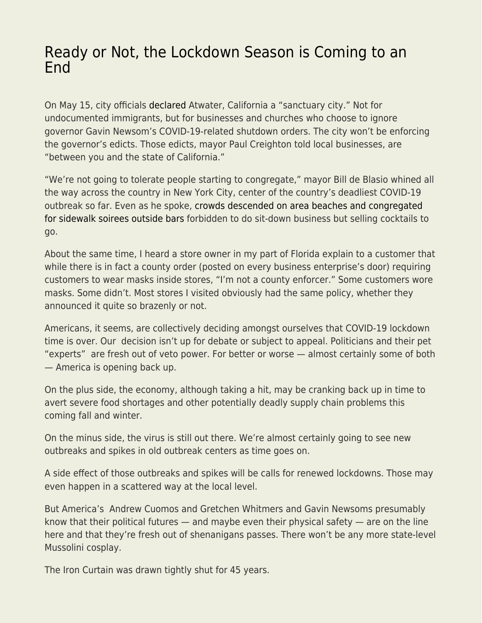## [Ready or Not, the Lockdown Season is Coming to an](https://everything-voluntary.com/ready-or-not-the-lockdown-season-is-coming-to-an-end) [End](https://everything-voluntary.com/ready-or-not-the-lockdown-season-is-coming-to-an-end)

On May 15, city officials [declared](https://www.usnews.com/news/best-states/california/articles/2020-05-16/california-city-declared-a-sanctuary-from-stay-home-order) Atwater, California a "sanctuary city." Not for undocumented immigrants, but for businesses and churches who choose to ignore governor Gavin Newsom's COVID-19-related shutdown orders. The city won't be enforcing the governor's edicts. Those edicts, mayor Paul Creighton told local businesses, are "between you and the state of California."

"We're not going to tolerate people starting to congregate," mayor Bill de Blasio whined all the way across the country in New York City, center of the country's deadliest COVID-19 outbreak so far. Even as he spoke, [crowds descended on area beaches and congregated](https://www.newsweek.com/nyc-officials-worry-about-possible-rebound-covid-19-deaths-locals-abandon-social-distancing-1504633) [for sidewalk soirees outside bars](https://www.newsweek.com/nyc-officials-worry-about-possible-rebound-covid-19-deaths-locals-abandon-social-distancing-1504633) forbidden to do sit-down business but selling cocktails to go.

About the same time, I heard a store owner in my part of Florida explain to a customer that while there is in fact a county order (posted on every business enterprise's door) requiring customers to wear masks inside stores, "I'm not a county enforcer." Some customers wore masks. Some didn't. Most stores I visited obviously had the same policy, whether they announced it quite so brazenly or not.

Americans, it seems, are collectively deciding amongst ourselves that COVID-19 lockdown time is over. Our decision isn't up for debate or subject to appeal. Politicians and their pet "experts" are fresh out of veto power. For better or worse — almost certainly some of both — America is opening back up.

On the plus side, the economy, although taking a hit, may be cranking back up in time to avert severe food shortages and other potentially deadly supply chain problems this coming fall and winter.

On the minus side, the virus is still out there. We're almost certainly going to see new outbreaks and spikes in old outbreak centers as time goes on.

A side effect of those outbreaks and spikes will be calls for renewed lockdowns. Those may even happen in a scattered way at the local level.

But America's Andrew Cuomos and Gretchen Whitmers and Gavin Newsoms presumably know that their political futures — and maybe even their physical safety — are on the line here and that they're fresh out of shenanigans passes. There won't be any more state-level Mussolini cosplay.

The Iron Curtain was drawn tightly shut for 45 years.